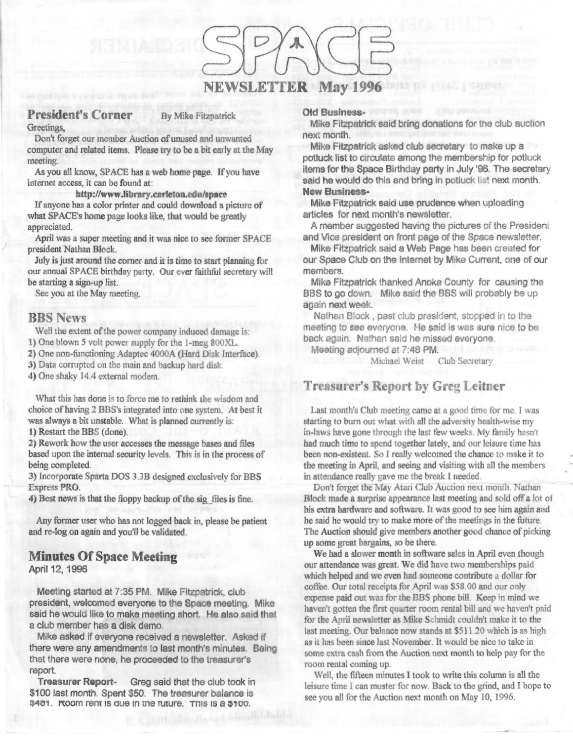## NEWSLETTER May 1996

### President's Corner By Mike Fitzpatrick

Greetings,

Don't forget our member Auction of unused and unwanted computer and related items. Please try to be a bit early at the May meeting.

As you all know, SPACE has a web home page. If you have internet access, it can be found at:

#### **http://www.library.carleton.edu/1pace**

If anyone has **a** color printer and could download a picture of what SPACE's home page looks like, that would be greatly appreciated.

April was a super meeting and it was nice to see fonner SPACE president Nathan Block.

July is just around the comer and it is time to start planning for our annual SPACE birthday party. Our ever faithful secretary will be starting a sign-up list.

See you at the May meeting.

### **BBS News**

Well the extent of the power company induced damage is:

1) One blown 5 volt power supply for the 1-meg 800XL.

2) One non-functioning Adaptec 4000A (Hard Disk Interface).

3) Data corrupted on the main and backup hard disk.

4) One shaky 14.4 external modem.

What this has done is to force me to rethink the wisdom and choice of having 2 BBS's integrated into one system. At best it was always a bit unstable. What is planned currently is:

**1)** Restart the BBS (done).

**2)** Rework how the user accesses the message bases and files based upon the internal security levels. This is in the process of being completed.

**3)** Incorporate Sparta DOS 3.3B designed exclusively for BBS Express **PRO.** 

**4)** Best news is that the floppy backup of the sig\_files is fine.

Any former user who has not logged back in, please be patient and re-log on again and you'll be validated.

## **Minutes Of Space Meeting**

April 12, 1996

Meeting started at 7:35 PM. Mike Fitzpatrick, club president, welcomed everyone to the Space meeting. Mike said he would like to make meeting short. He also said that a club member has a disk demo.

Mike asked if everyone received a newsletter. Asked it there were any amendments to last month's minutes. Being that there were none, he proceeded to the treasurer's report.

**Treasurer Report-** Greg said that the club took in \$100 last month. Spent \$50. The treasurer balance is  $3481.$  **Room rent is que in the future. This is a**  $3100.$ 

#### **Old Business-**

**Mike** Fitzpatrick said bring donations for the club auction next month.

**Mike Fitzpatrick asked club secretary to make up a** potluck list to circulate among the membership for potluck items for the Space Birthday party in July '96. The secretary said he would do this and bring in potluck list next month. **New Business-**

**Mike** Fitzpatrick said use prudence when uploading articles for next month's newsletter.

A member suggested having the pictures of the President and Vice president on front page of the Space newsletter.

Mike Fitzpatrick said a Web Page has been created for our Space Club on the Internet by **Mike** Current, one of our members.

Mike Fitzpatrick thanked Anoka County for causing the BBS to go down. **Mike** said the BBS will probably be up again next week.

Nathan Block, past club president, stopped in to the meeting to see everyone. He said is was sure nice to be back again. Nathan said he missed everyone.

Meeting adjourned *at* 7:48 **PM.** 

Michael Weist Club Secretary

### **Treasurer's Report by Greg Leitner**

Last month's Club meeting came at a good time for me. I was starting to bum out what with all the adversity health-wise my in-laws have gone through the last few weeks. My family hasn't had much time to spend together lately, and our leisure time has been non-existent. So I really welcomed the chance to make it to the meeting in April, and seeing and visiting with all the members in attendance really gave me the break I needed

Don't forget the May Atari Club Auction next month. Nathan Block made a surprise appearance last meeting and sold off a lot of his extra hardware and software. It was good to see him again and he said he would try to make more of the meetings in the future. The Auction should give members another good chance of picking up some great bargains, so be there.

We had a slower month in software sales in April even though our attendance was great. We did have two memberships paid which helped and we even had someone contribute a dollar for coffee. Our total receipts for April was \$58.00 and our only expense paid out was for the BBS phone bill. Keep in mind we haven't gotten the first quarter room rental bill and we haven't paid for the April newsletter **as Mike** Schmidt couldn't make it to the last meeting. Our balance now stands at \$511.20 which is as high as it has been since last November. It would be nice to take in some extra cash from the Auction next month to help pay for the room rental coming up.

Well, the fifteen minutes I took to write this column is all the leisure time I can muster for now Back to the grind, and I hope to see you all for the Auction next month on May 10, 1996.